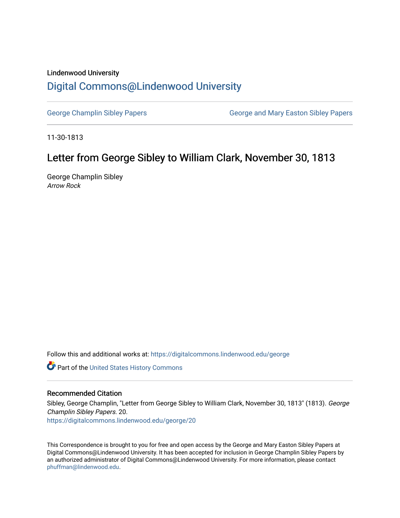### Lindenwood University

# [Digital Commons@Lindenwood University](https://digitalcommons.lindenwood.edu/)

[George Champlin Sibley Papers](https://digitalcommons.lindenwood.edu/george) George and Mary Easton Sibley Papers

11-30-1813

# Letter from George Sibley to William Clark, November 30, 1813

George Champlin Sibley Arrow Rock

Follow this and additional works at: [https://digitalcommons.lindenwood.edu/george](https://digitalcommons.lindenwood.edu/george?utm_source=digitalcommons.lindenwood.edu%2Fgeorge%2F20&utm_medium=PDF&utm_campaign=PDFCoverPages)

Part of the [United States History Commons](http://network.bepress.com/hgg/discipline/495?utm_source=digitalcommons.lindenwood.edu%2Fgeorge%2F20&utm_medium=PDF&utm_campaign=PDFCoverPages) 

### Recommended Citation

Sibley, George Champlin, "Letter from George Sibley to William Clark, November 30, 1813" (1813). George Champlin Sibley Papers. 20.

[https://digitalcommons.lindenwood.edu/george/20](https://digitalcommons.lindenwood.edu/george/20?utm_source=digitalcommons.lindenwood.edu%2Fgeorge%2F20&utm_medium=PDF&utm_campaign=PDFCoverPages) 

This Correspondence is brought to you for free and open access by the George and Mary Easton Sibley Papers at Digital Commons@Lindenwood University. It has been accepted for inclusion in George Champlin Sibley Papers by an authorized administrator of Digital Commons@Lindenwood University. For more information, please contact [phuffman@lindenwood.edu](mailto:phuffman@lindenwood.edu).